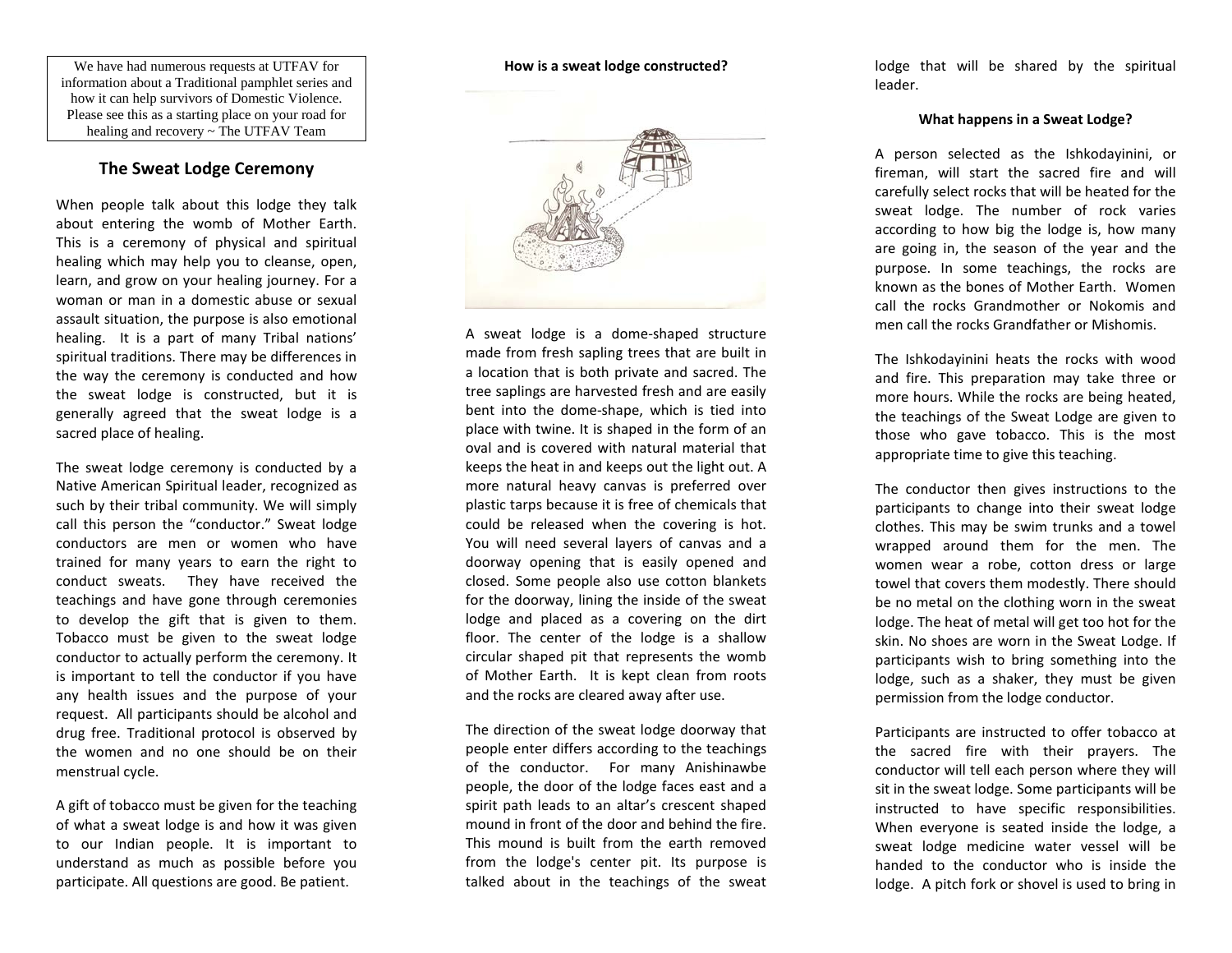We have had numerous requests at UTFAV for information about a Traditional pamphlet series and how it can help survivors of Domestic Violence. Please see this as a starting place on your road for healing and recovery ~ The UTFAV Team

## **The Sweat Lodge Ceremony**

When people talk about this lodge they talk about entering the womb of Mother Earth. This is a ceremony of physical and spiritual healing which may help you to cleanse, open, learn, and grow on your healing journey. For a woman or man in a domestic abuse or sexual assault situation, the purpose is also emotional healing. It is a part of many Tribal nations' spiritual traditions. There may be differences in the way the ceremony is conducted and how the sweat lodge is constructed, but it is generally agreed that the sweat lodge is a sacred place of healing.

The sweat lodge ceremony is conducted by a Native American Spiritual leader, recognized as such by their tribal community. We will simply call this person the "conductor." Sweat lodge conductors are men or women who have trained for many years to earn the right to conduct sweats. They have received the teachings and have gone through ceremonies to develop the gift that is given to them. Tobacco must be given to the sweat lodge conductor to actually perform the ceremony. It is important to tell the conductor if you have any health issues and the purpose of your request. All participants should be alcohol and drug free. Traditional protocol is observed by the women and no one should be on their menstrual cycle.

A gift of tobacco must be given for the teaching of what a sweat lodge is and how it was given to our Indian people. It is important to understand as much as possible before you participate. All questions are good. Be patient.

**How is a sweat lodge constructed?**



A sweat lodge is a dome-shaped structure made from fresh sapling trees that are built in a location that is both private and sacred. The tree saplings are harvested fresh and are easily bent into the dome-shape, which is tied into place with twine. It is shaped in the form of an oval and is covered with natural material that keeps the heat in and keeps out the light out. A more natural heavy canvas is preferred over plastic tarps because it is free of chemicals that could be released when the covering is hot. You will need several layers of canvas and a doorway opening that is easily opened and closed. Some people also use cotton blankets for the doorway, lining the inside of the sweat lodge and placed as a covering on the dirt floor. The center of the lodge is a shallow circular shaped pit that represents the womb of Mother Earth. It is kept clean from roots and the rocks are cleared away after use.

The direction of the sweat lodge doorway that people enter differs according to the teachings of the conductor. For many Anishinawbe people, the door of the lodge faces east and a spirit path leads to an altar's crescent shaped mound in front of the door and behind the fire. This mound is built from the earth removed from the lodge's center pit. Its purpose is talked about in the teachings of the sweat lodge that will be shared by the spiritual leader.

#### **What happens in a Sweat Lodge?**

A person selected as the Ishkodayinini, or fireman, will start the sacred fire and will carefully select rocks that will be heated for the sweat lodge. The number of rock varies according to how big the lodge is, how many are going in, the season of the year and the purpose. In some teachings, the rocks are known as the bones of Mother Earth. Women call the rocks Grandmother or Nokomis and men call the rocks Grandfather or Mishomis.

The Ishkodayinini heats the rocks with wood and fire. This preparation may take three or more hours. While the rocks are being heated, the teachings of the Sweat Lodge are given to those who gave tobacco. This is the most appropriate time to give this teaching.

The conductor then gives instructions to the participants to change into their sweat lodge clothes. This may be swim trunks and a towel wrapped around them for the men. The women wear a robe, cotton dress or large towel that covers them modestly. There should be no metal on the clothing worn in the sweat lodge. The heat of metal will get too hot for the skin. No shoes are worn in the Sweat Lodge. If participants wish to bring something into the lodge, such as a shaker, they must be given permission from the lodge conductor.

Participants are instructed to offer tobacco at the sacred fire with their prayers. The conductor will tell each person where they will sit in the sweat lodge. Some participants will be instructed to have specific responsibilities. When everyone is seated inside the lodge, a sweat lodge medicine water vessel will be handed to the conductor who is inside the lodge. A pitch fork or shovel is used to bring in